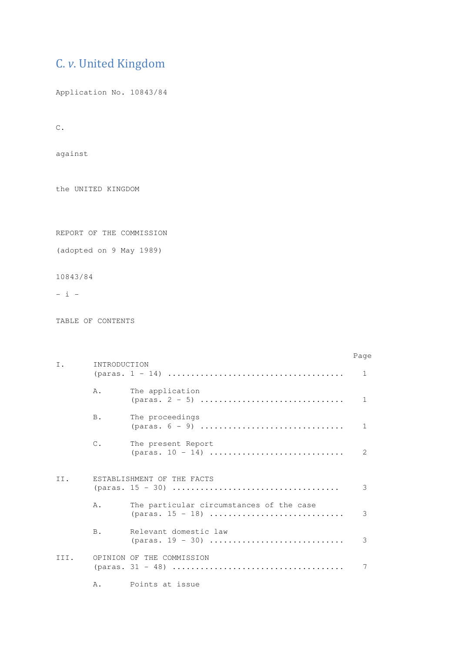# C. v. United Kingdom

Application No. 10843/84

C.

against

the UNITED KINGDOM

REPORT OF THE COMMISSION

(adopted on 9 May 1989)

10843/84

 $- i -$ 

TABLE OF CONTENTS

|       |                            |                                                                 | Page           |
|-------|----------------------------|-----------------------------------------------------------------|----------------|
| $I$ . | INTRODUCTION               |                                                                 | $\mathbf{1}$   |
|       | Α.                         | The application<br>(paras. $2 - 5$ )                            | 1              |
|       | <b>B</b> .                 | The proceedings<br>(paras. $6 - 9$ )                            | $\mathbf{1}$   |
|       | $\mathsf{C}$ .             | The present Report<br>(paras. $10 - 14$ )                       | $\mathfrak{D}$ |
| II.   | ESTABLISHMENT OF THE FACTS |                                                                 | 3              |
|       | Α.                         | The particular circumstances of the case<br>(paras. $15 - 18$ ) | 3              |
|       | B.                         | Relevant domestic law<br>(paras. $19 - 30$ )                    | 3              |
| III.  |                            | OPINION OF THE COMMISSION                                       | 7              |
|       |                            | A. Points at issue                                              |                |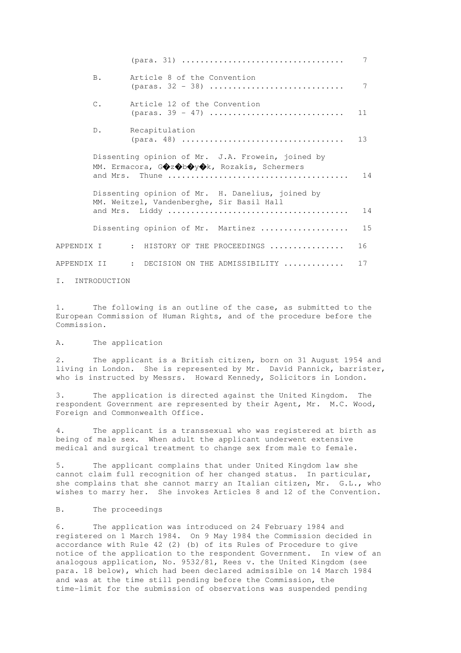|                 |                                                                                                  | 7  |
|-----------------|--------------------------------------------------------------------------------------------------|----|
| B.              | Article 8 of the Convention<br>(paras. $32 - 38$ )                                               | 7  |
| $\mathcal{C}$ . | Article 12 of the Convention<br>(paras. $39 - 47$ )                                              | 11 |
| $D$ .           | Recapitulation                                                                                   | 13 |
|                 | Dissenting opinion of Mr. J.A. Frowein, joined by<br>MM. Ermacora, GOzObOyOk, Rozakis, Schermers | 14 |
|                 | Dissenting opinion of Mr. H. Danelius, joined by<br>MM. Weitzel, Vandenberghe, Sir Basil Hall    | 14 |
|                 | Dissenting opinion of Mr. Martinez                                                               | 15 |
|                 | ${\tt APPENDIX}$ I $\;\;:\;\;$ HISTORY OF THE PROCEEDINGS $\;\;\ldots\ldots\ldots\ldots\ldots\;$ | 16 |
|                 |                                                                                                  | 17 |
|                 |                                                                                                  |    |

I. INTRODUCTION

1. The following is an outline of the case, as submitted to the European Commission of Human Rights, and of the procedure before the Commission.

A. The application

2. The applicant is a British citizen, born on 31 August 1954 and living in London. She is represented by Mr. David Pannick, barrister, who is instructed by Messrs. Howard Kennedy, Solicitors in London.

3. The application is directed against the United Kingdom. The respondent Government are represented by their Agent, Mr. M.C. Wood, Foreign and Commonwealth Office.

4. The applicant is a transsexual who was registered at birth as being of male sex. When adult the applicant underwent extensive medical and surgical treatment to change sex from male to female.

5. The applicant complains that under United Kingdom law she cannot claim full recognition of her changed status. In particular, she complains that she cannot marry an Italian citizen, Mr. G.L., who wishes to marry her. She invokes Articles 8 and 12 of the Convention.

## B. The proceedings

6. The application was introduced on 24 February 1984 and registered on 1 March 1984. On 9 May 1984 the Commission decided in accordance with Rule 42 (2) (b) of its Rules of Procedure to give notice of the application to the respondent Government. In view of an analogous application, No. 9532/81, Rees v. the United Kingdom (see para. 18 below), which had been declared admissible on 14 March 1984 and was at the time still pending before the Commission, the time-limit for the submission of observations was suspended pending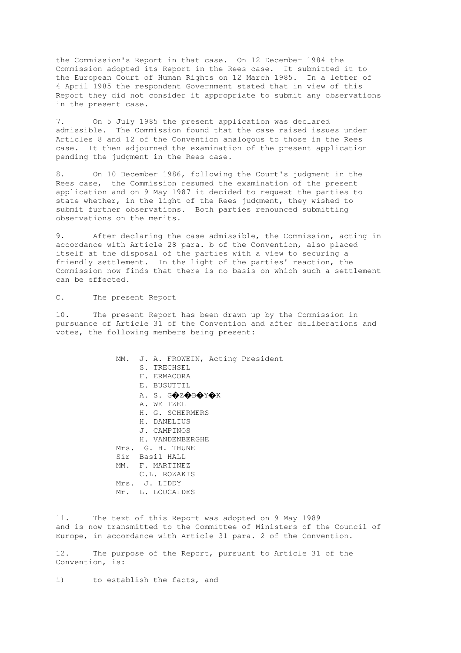the Commission's Report in that case. On 12 December 1984 the Commission adopted its Report in the Rees case. It submitted it to the European Court of Human Rights on 12 March 1985. In a letter of 4 April 1985 the respondent Government stated that in view of this Report they did not consider it appropriate to submit any observations in the present case.

On 5 July 1985 the present application was declared admissible. The Commission found that the case raised issues under Articles 8 and 12 of the Convention analogous to those in the Rees case. It then adjourned the examination of the present application pending the judgment in the Rees case.

8. On 10 December 1986, following the Court's judgment in the Rees case, the Commission resumed the examination of the present application and on 9 May 1987 it decided to request the parties to state whether, in the light of the Rees judgment, they wished to submit further observations. Both parties renounced submitting observations on the merits.

9. After declaring the case admissible, the Commission, acting in accordance with Article 28 para. b of the Convention, also placed itself at the disposal of the parties with a view to securing a friendly settlement. In the light of the parties' reaction, the Commission now finds that there is no basis on which such a settlement can be effected.

C. The present Report

10. The present Report has been drawn up by the Commission in pursuance of Article 31 of the Convention and after deliberations and votes, the following members being present:

| MM. J. A. FROWEIN, Acting President |
|-------------------------------------|
| S. TRECHSEL                         |
| F. ERMACORA                         |
| E. BUSUTTIL                         |
| A. S. GOZOBOYOK                     |
| A. WEITZEL                          |
| H. G. SCHERMERS                     |
| H. DANELIUS                         |
| J. CAMPINOS                         |
| H. VANDENBERGHE                     |
| Mrs. G. H. THUNE                    |
| Sir Basil HALL                      |
| MM. F. MARTINEZ                     |
| C.L. ROZAKIS                        |
| Mrs. J. LIDDY                       |
| Mr. L. LOUCAIDES                    |

11. The text of this Report was adopted on 9 May 1989 and is now transmitted to the Committee of Ministers of the Council of Europe, in accordance with Article 31 para. 2 of the Convention.

12. The purpose of the Report, pursuant to Article 31 of the Convention, is:

i) to establish the facts, and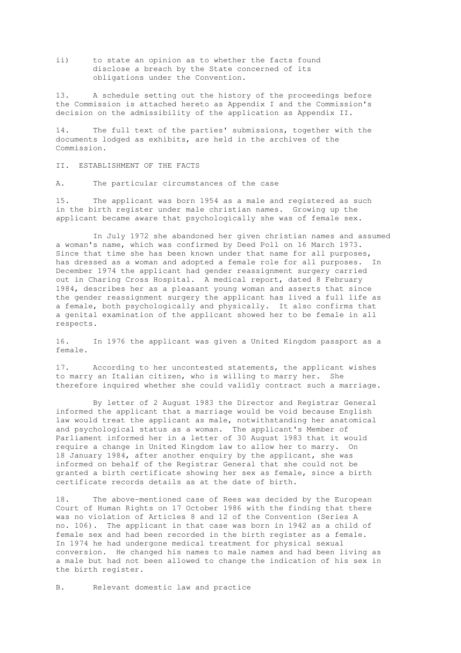ii) to state an opinion as to whether the facts found disclose a breach by the State concerned of its obligations under the Convention.

13. A schedule setting out the history of the proceedings before the Commission is attached hereto as Appendix I and the Commission's decision on the admissibility of the application as Appendix II.

14. The full text of the parties' submissions, together with the documents lodged as exhibits, are held in the archives of the Commission.

II. ESTABLISHMENT OF THE FACTS

A. The particular circumstances of the case

15. The applicant was born 1954 as a male and registered as such in the birth register under male christian names. Growing up the applicant became aware that psychologically she was of female sex.

 In July 1972 she abandoned her given christian names and assumed a woman's name, which was confirmed by Deed Poll on 16 March 1973. Since that time she has been known under that name for all purposes, has dressed as a woman and adopted a female role for all purposes. In December 1974 the applicant had gender reassignment surgery carried out in Charing Cross Hospital. A medical report, dated 8 February 1984, describes her as a pleasant young woman and asserts that since the gender reassignment surgery the applicant has lived a full life as a female, both psychologically and physically. It also confirms that a genital examination of the applicant showed her to be female in all respects.

16. In 1976 the applicant was given a United Kingdom passport as a female.

17. According to her uncontested statements, the applicant wishes to marry an Italian citizen, who is willing to marry her. She therefore inquired whether she could validly contract such a marriage.

 By letter of 2 August 1983 the Director and Registrar General informed the applicant that a marriage would be void because English law would treat the applicant as male, notwithstanding her anatomical and psychological status as a woman. The applicant's Member of Parliament informed her in a letter of 30 August 1983 that it would require a change in United Kingdom law to allow her to marry. On 18 January 1984, after another enquiry by the applicant, she was informed on behalf of the Registrar General that she could not be granted a birth certificate showing her sex as female, since a birth certificate records details as at the date of birth.

18. The above-mentioned case of Rees was decided by the European Court of Human Rights on 17 October 1986 with the finding that there was no violation of Articles 8 and 12 of the Convention (Series A no. 106). The applicant in that case was born in 1942 as a child of female sex and had been recorded in the birth register as a female. In 1974 he had undergone medical treatment for physical sexual conversion. He changed his names to male names and had been living as a male but had not been allowed to change the indication of his sex in the birth register.

B. Relevant domestic law and practice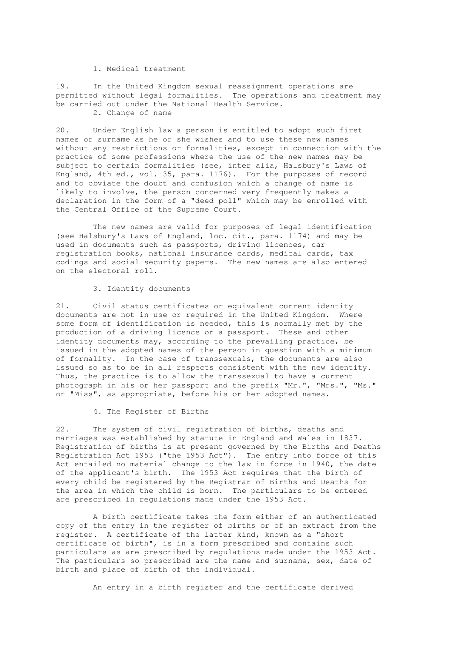1. Medical treatment

19. In the United Kingdom sexual reassignment operations are permitted without legal formalities. The operations and treatment may be carried out under the National Health Service. 2. Change of name

20. Under English law a person is entitled to adopt such first names or surname as he or she wishes and to use these new names without any restrictions or formalities, except in connection with the practice of some professions where the use of the new names may be subject to certain formalities (see, inter alia, Halsbury's Laws of England, 4th ed., vol. 35, para. 1176). For the purposes of record and to obviate the doubt and confusion which a change of name is likely to involve, the person concerned very frequently makes a declaration in the form of a "deed poll" which may be enrolled with the Central Office of the Supreme Court.

 The new names are valid for purposes of legal identification (see Halsbury's Laws of England, loc. cit., para. 1174) and may be used in documents such as passports, driving licences, car registration books, national insurance cards, medical cards, tax codings and social security papers. The new names are also entered on the electoral roll.

## 3. Identity documents

21. Civil status certificates or equivalent current identity documents are not in use or required in the United Kingdom. Where some form of identification is needed, this is normally met by the production of a driving licence or a passport. These and other identity documents may, according to the prevailing practice, be issued in the adopted names of the person in question with a minimum of formality. In the case of transsexuals, the documents are also issued so as to be in all respects consistent with the new identity. Thus, the practice is to allow the transsexual to have a current photograph in his or her passport and the prefix "Mr.", "Mrs.", "Ms." or "Miss", as appropriate, before his or her adopted names.

## 4. The Register of Births

22. The system of civil registration of births, deaths and marriages was established by statute in England and Wales in 1837. Registration of births is at present governed by the Births and Deaths Registration Act 1953 ("the 1953 Act"). The entry into force of this Act entailed no material change to the law in force in 1940, the date of the applicant's birth. The 1953 Act requires that the birth of every child be registered by the Registrar of Births and Deaths for the area in which the child is born. The particulars to be entered are prescribed in regulations made under the 1953 Act.

 A birth certificate takes the form either of an authenticated copy of the entry in the register of births or of an extract from the register. A certificate of the latter kind, known as a "short certificate of birth", is in a form prescribed and contains such particulars as are prescribed by regulations made under the 1953 Act. The particulars so prescribed are the name and surname, sex, date of birth and place of birth of the individual.

An entry in a birth register and the certificate derived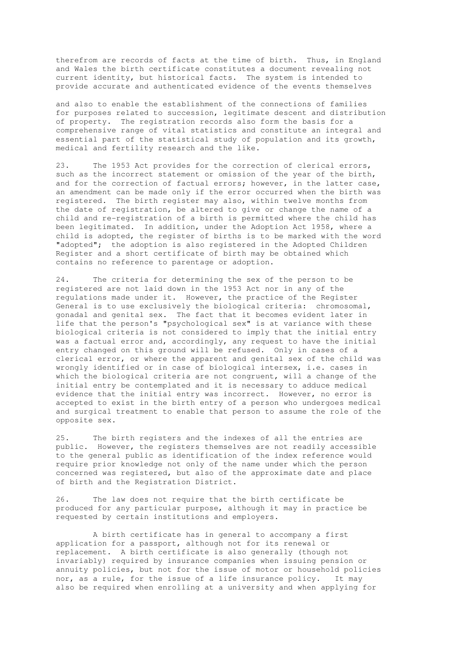therefrom are records of facts at the time of birth. Thus, in England and Wales the birth certificate constitutes a document revealing not current identity, but historical facts. The system is intended to provide accurate and authenticated evidence of the events themselves

and also to enable the establishment of the connections of families for purposes related to succession, legitimate descent and distribution of property. The registration records also form the basis for a comprehensive range of vital statistics and constitute an integral and essential part of the statistical study of population and its growth, medical and fertility research and the like.

23. The 1953 Act provides for the correction of clerical errors, such as the incorrect statement or omission of the year of the birth, and for the correction of factual errors; however, in the latter case, an amendment can be made only if the error occurred when the birth was registered. The birth register may also, within twelve months from the date of registration, be altered to give or change the name of a child and re-registration of a birth is permitted where the child has been legitimated. In addition, under the Adoption Act 1958, where a child is adopted, the register of births is to be marked with the word "adopted"; the adoption is also registered in the Adopted Children Register and a short certificate of birth may be obtained which contains no reference to parentage or adoption.

24. The criteria for determining the sex of the person to be registered are not laid down in the 1953 Act nor in any of the regulations made under it. However, the practice of the Register General is to use exclusively the biological criteria: chromosomal, gonadal and genital sex. The fact that it becomes evident later in life that the person's "psychological sex" is at variance with these biological criteria is not considered to imply that the initial entry was a factual error and, accordingly, any request to have the initial entry changed on this ground will be refused. Only in cases of a clerical error, or where the apparent and genital sex of the child was wrongly identified or in case of biological intersex, i.e. cases in which the biological criteria are not congruent, will a change of the initial entry be contemplated and it is necessary to adduce medical evidence that the initial entry was incorrect. However, no error is accepted to exist in the birth entry of a person who undergoes medical and surgical treatment to enable that person to assume the role of the opposite sex.

25. The birth registers and the indexes of all the entries are public. However, the registers themselves are not readily accessible to the general public as identification of the index reference would require prior knowledge not only of the name under which the person concerned was registered, but also of the approximate date and place of birth and the Registration District.

26. The law does not require that the birth certificate be produced for any particular purpose, although it may in practice be requested by certain institutions and employers.

 A birth certificate has in general to accompany a first application for a passport, although not for its renewal or replacement. A birth certificate is also generally (though not invariably) required by insurance companies when issuing pension or annuity policies, but not for the issue of motor or household policies nor, as a rule, for the issue of a life insurance policy. It may also be required when enrolling at a university and when applying for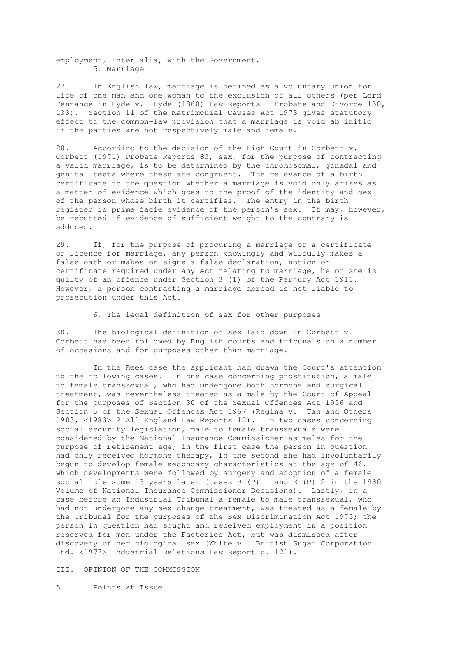employment, inter alia, with the Government. 5. Marriage

27. In English law, marriage is defined as a voluntary union for life of one man and one woman to the exclusion of all others (per Lord Penzance in Hyde v. Hyde (1868) Law Reports 1 Probate and Divorce 130, 133). Section 11 of the Matrimonial Causes Act 1973 gives statutory effect to the common-law provision that a marriage is void ab initio if the parties are not respectively male and female.

28. According to the decision of the High Court in Corbett v. Corbett (1971) Probate Reports 83, sex, for the purpose of contracting a valid marriage, is to be determined by the chromosomal, gonadal and genital tests where these are congruent. The relevance of a birth certificate to the question whether a marriage is void only arises as a matter of evidence which goes to the proof of the identity and sex of the person whose birth it certifies. The entry in the birth register is prima facie evidence of the person's sex. It may, however, be rebutted if evidence of sufficient weight to the contrary is adduced.

29. If, for the purpose of procuring a marriage or a certificate or licence for marriage, any person knowingly and wilfully makes a false oath or makes or signs a false declaration, notice or certificate required under any Act relating to marriage, he or she is guilty of an offence under Section 3 (1) of the Perjury Act 1911. However, a person contracting a marriage abroad is not liable to prosecution under this Act.

6. The legal definition of sex for other purposes

30. The biological definition of sex laid down in Corbett v. Corbett has been followed by English courts and tribunals on a number of occasions and for purposes other than marriage.

 In the Rees case the applicant had drawn the Court's attention to the following cases. In one case concerning prostitution, a male to female transsexual, who had undergone both hormone and surgical treatment, was nevertheless treated as a male by the Court of Appeal for the purposes of Section 30 of the Sexual Offences Act 1956 and Section 5 of the Sexual Offences Act 1967 (Regina v. Tan and Others 1983, <1983> 2 All England Law Reports 12). In two cases concerning social security legislation, male to female transsexuals were considered by the National Insurance Commissioner as males for the purpose of retirement age; in the first case the person in question had only received hormone therapy, in the second she had involuntarily begun to develop female secondary characteristics at the age of 46, which developments were followed by surgery and adoption of a female social role some 13 years later (cases R (P) 1 and R (P) 2 in the 1980 Volume of National Insurance Commissioner Decisions). Lastly, in a case before an Industrial Tribunal a female to male transsexual, who had not undergone any sex change treatment, was treated as a female by the Tribunal for the purposes of the Sex Discrimination Act 1975; the person in question had sought and received employment in a position reserved for men under the Factories Act, but was dismissed after discovery of her biological sex (White v. British Sugar Corporation Ltd. <1977> Industrial Relations Law Report p. 121).

III. OPINION OF THE COMMISSION

A. Points at Issue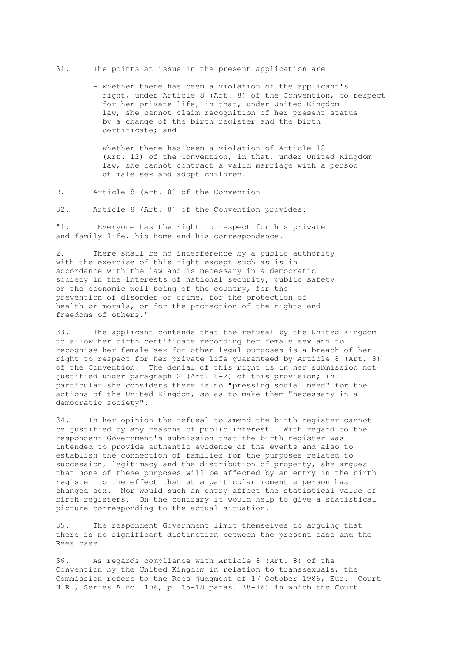#### 31. The points at issue in the present application are

- whether there has been a violation of the applicant's right, under Article 8 (Art. 8) of the Convention, to respect for her private life, in that, under United Kingdom law, she cannot claim recognition of her present status by a change of the birth register and the birth certificate; and
- whether there has been a violation of Article 12 (Art. 12) of the Convention, in that, under United Kingdom law, she cannot contract a valid marriage with a person of male sex and adopt children.

B. Article 8 (Art. 8) of the Convention

32. Article 8 (Art. 8) of the Convention provides:

"1. Everyone has the right to respect for his private and family life, his home and his correspondence.

2. There shall be no interference by a public authority with the exercise of this right except such as is in accordance with the law and is necessary in a democratic society in the interests of national security, public safety or the economic well-being of the country, for the prevention of disorder or crime, for the protection of health or morals, or for the protection of the rights and freedoms of others."

33. The applicant contends that the refusal by the United Kingdom to allow her birth certificate recording her female sex and to recognise her female sex for other legal purposes is a breach of her right to respect for her private life guaranteed by Article 8 (Art. 8) of the Convention. The denial of this right is in her submission not justified under paragraph 2 (Art. 8-2) of this provision; in particular she considers there is no "pressing social need" for the actions of the United Kingdom, so as to make them "necessary in a democratic society".

34. In her opinion the refusal to amend the birth register cannot be justified by any reasons of public interest. With regard to the respondent Government's submission that the birth register was intended to provide authentic evidence of the events and also to establish the connection of families for the purposes related to succession, legitimacy and the distribution of property, she argues that none of these purposes will be affected by an entry in the birth register to the effect that at a particular moment a person has changed sex. Nor would such an entry affect the statistical value of birth registers. On the contrary it would help to give a statistical picture corresponding to the actual situation.

35. The respondent Government limit themselves to arguing that there is no significant distinction between the present case and the Rees case.

36. As regards compliance with Article 8 (Art. 8) of the Convention by the United Kingdom in relation to transsexuals, the Commission refers to the Rees judgment of 17 October 1986, Eur. Court H.R., Series A no. 106, p. 15-18 paras. 38-46) in which the Court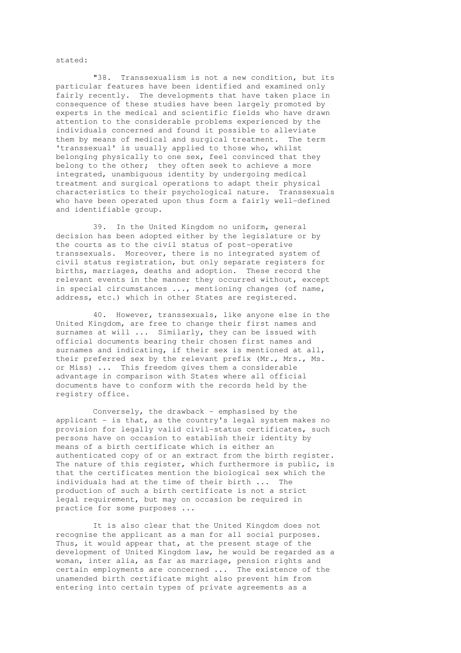stated:

 "38. Transsexualism is not a new condition, but its particular features have been identified and examined only fairly recently. The developments that have taken place in consequence of these studies have been largely promoted by experts in the medical and scientific fields who have drawn attention to the considerable problems experienced by the individuals concerned and found it possible to alleviate them by means of medical and surgical treatment. The term 'transsexual' is usually applied to those who, whilst belonging physically to one sex, feel convinced that they belong to the other; they often seek to achieve a more integrated, unambiguous identity by undergoing medical treatment and surgical operations to adapt their physical characteristics to their psychological nature. Transsexuals who have been operated upon thus form a fairly well-defined and identifiable group.

 39. In the United Kingdom no uniform, general decision has been adopted either by the legislature or by the courts as to the civil status of post-operative transsexuals. Moreover, there is no integrated system of civil status registration, but only separate registers for births, marriages, deaths and adoption. These record the relevant events in the manner they occurred without, except in special circumstances ..., mentioning changes (of name, address, etc.) which in other States are registered.

 40. However, transsexuals, like anyone else in the United Kingdom, are free to change their first names and surnames at will ... Similarly, they can be issued with official documents bearing their chosen first names and surnames and indicating, if their sex is mentioned at all, their preferred sex by the relevant prefix (Mr., Mrs., Ms. or Miss) ... This freedom gives them a considerable advantage in comparison with States where all official documents have to conform with the records held by the registry office.

 Conversely, the drawback - emphasised by the applicant - is that, as the country's legal system makes no provision for legally valid civil-status certificates, such persons have on occasion to establish their identity by means of a birth certificate which is either an authenticated copy of or an extract from the birth register. The nature of this register, which furthermore is public, is that the certificates mention the biological sex which the individuals had at the time of their birth ... The production of such a birth certificate is not a strict legal requirement, but may on occasion be required in practice for some purposes ...

 It is also clear that the United Kingdom does not recognise the applicant as a man for all social purposes. Thus, it would appear that, at the present stage of the development of United Kingdom law, he would be regarded as a woman, inter alia, as far as marriage, pension rights and certain employments are concerned ... The existence of the unamended birth certificate might also prevent him from entering into certain types of private agreements as a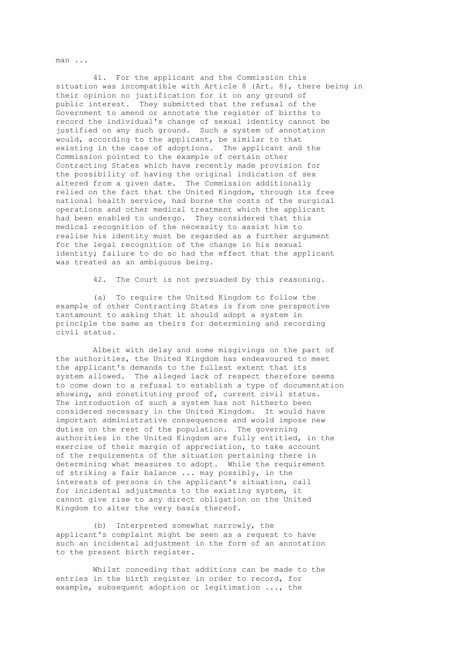man ...

 41. For the applicant and the Commission this situation was incompatible with Article 8 (Art. 8), there being in their opinion no justification for it on any ground of public interest. They submitted that the refusal of the Government to amend or annotate the register of births to record the individual's change of sexual identity cannot be justified on any such ground. Such a system of annotation would, according to the applicant, be similar to that existing in the case of adoptions. The applicant and the Commission pointed to the example of certain other Contracting States which have recently made provision for the possibility of having the original indication of sex altered from a given date. The Commission additionally relied on the fact that the United Kingdom, through its free national health service, had borne the costs of the surgical operations and other medical treatment which the applicant had been enabled to undergo. They considered that this medical recognition of the necessity to assist him to realise his identity must be regarded as a further argument for the legal recognition of the change in his sexual identity; failure to do so had the effect that the applicant was treated as an ambiguous being.

42. The Court is not persuaded by this reasoning.

 (a) To require the United Kingdom to follow the example of other Contracting States is from one perspective tantamount to asking that it should adopt a system in principle the same as theirs for determining and recording civil status.

 Albeit with delay and some misgivings on the part of the authorities, the United Kingdom has endeavoured to meet the applicant's demands to the fullest extent that its system allowed. The alleged lack of respect therefore seems to come down to a refusal to establish a type of documentation showing, and constituting proof of, current civil status. The introduction of such a system has not hitherto been considered necessary in the United Kingdom. It would have important administrative consequences and would impose new duties on the rest of the population. The governing authorities in the United Kingdom are fully entitled, in the exercise of their margin of appreciation, to take account of the requirements of the situation pertaining there in determining what measures to adopt. While the requirement of striking a fair balance ... may possibly, in the interests of persons in the applicant's situation, call for incidental adjustments to the existing system, it cannot give rise to any direct obligation on the United Kingdom to alter the very basis thereof.

 (b) Interpreted somewhat narrowly, the applicant's complaint might be seen as a request to have such an incidental adjustment in the form of an annotation to the present birth register.

 Whilst conceding that additions can be made to the entries in the birth register in order to record, for example, subsequent adoption or legitimation ..., the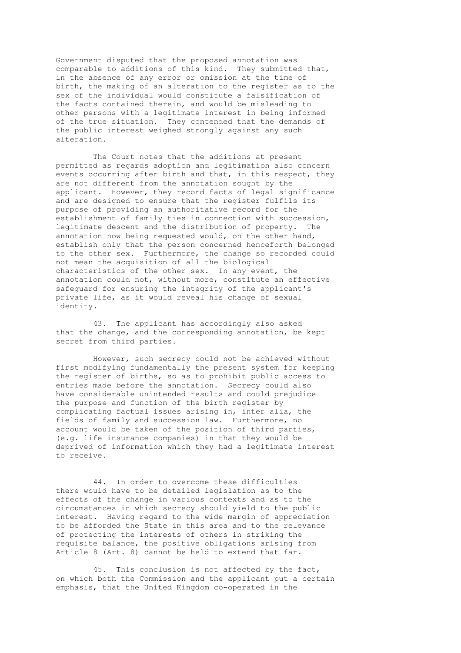Government disputed that the proposed annotation was comparable to additions of this kind. They submitted that, in the absence of any error or omission at the time of birth, the making of an alteration to the register as to the sex of the individual would constitute a falsification of the facts contained therein, and would be misleading to other persons with a legitimate interest in being informed of the true situation. They contended that the demands of the public interest weighed strongly against any such alteration.

 The Court notes that the additions at present permitted as regards adoption and legitimation also concern events occurring after birth and that, in this respect, they are not different from the annotation sought by the applicant. However, they record facts of legal significance and are designed to ensure that the register fulfils its purpose of providing an authoritative record for the establishment of family ties in connection with succession, legitimate descent and the distribution of property. The annotation now being requested would, on the other hand, establish only that the person concerned henceforth belonged to the other sex. Furthermore, the change so recorded could not mean the acquisition of all the biological characteristics of the other sex. In any event, the annotation could not, without more, constitute an effective safeguard for ensuring the integrity of the applicant's private life, as it would reveal his change of sexual identity.

 43. The applicant has accordingly also asked that the change, and the corresponding annotation, be kept secret from third parties.

 However, such secrecy could not be achieved without first modifying fundamentally the present system for keeping the register of births, so as to prohibit public access to entries made before the annotation. Secrecy could also have considerable unintended results and could prejudice the purpose and function of the birth register by complicating factual issues arising in, inter alia, the fields of family and succession law. Furthermore, no account would be taken of the position of third parties, (e.g. life insurance companies) in that they would be deprived of information which they had a legitimate interest to receive.

 44. In order to overcome these difficulties there would have to be detailed legislation as to the effects of the change in various contexts and as to the circumstances in which secrecy should yield to the public interest. Having regard to the wide margin of appreciation to be afforded the State in this area and to the relevance of protecting the interests of others in striking the requisite balance, the positive obligations arising from Article 8 (Art. 8) cannot be held to extend that far.

 45. This conclusion is not affected by the fact, on which both the Commission and the applicant put a certain emphasis, that the United Kingdom co-operated in the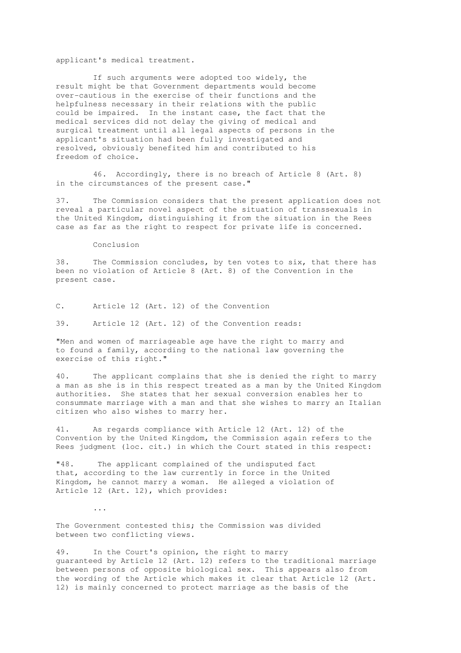applicant's medical treatment.

 If such arguments were adopted too widely, the result might be that Government departments would become over-cautious in the exercise of their functions and the helpfulness necessary in their relations with the public could be impaired. In the instant case, the fact that the medical services did not delay the giving of medical and surgical treatment until all legal aspects of persons in the applicant's situation had been fully investigated and resolved, obviously benefited him and contributed to his freedom of choice.

 46. Accordingly, there is no breach of Article 8 (Art. 8) in the circumstances of the present case."

37. The Commission considers that the present application does not reveal a particular novel aspect of the situation of transsexuals in the United Kingdom, distinguishing it from the situation in the Rees case as far as the right to respect for private life is concerned.

## Conclusion

...

38. The Commission concludes, by ten votes to six, that there has been no violation of Article 8 (Art. 8) of the Convention in the present case.

## C. Article 12 (Art. 12) of the Convention

39. Article 12 (Art. 12) of the Convention reads:

"Men and women of marriageable age have the right to marry and to found a family, according to the national law governing the exercise of this right."

40. The applicant complains that she is denied the right to marry a man as she is in this respect treated as a man by the United Kingdom authorities. She states that her sexual conversion enables her to consummate marriage with a man and that she wishes to marry an Italian citizen who also wishes to marry her.

41. As regards compliance with Article 12 (Art. 12) of the Convention by the United Kingdom, the Commission again refers to the Rees judgment (loc. cit.) in which the Court stated in this respect:

"48. The applicant complained of the undisputed fact that, according to the law currently in force in the United Kingdom, he cannot marry a woman. He alleged a violation of Article 12 (Art. 12), which provides:

The Government contested this; the Commission was divided between two conflicting views.

49. In the Court's opinion, the right to marry guaranteed by Article 12 (Art. 12) refers to the traditional marriage between persons of opposite biological sex. This appears also from the wording of the Article which makes it clear that Article 12 (Art. 12) is mainly concerned to protect marriage as the basis of the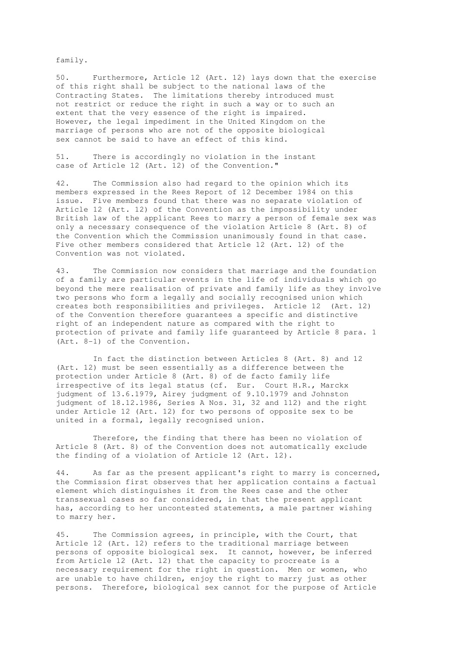family.

50. Furthermore, Article 12 (Art. 12) lays down that the exercise of this right shall be subject to the national laws of the Contracting States. The limitations thereby introduced must not restrict or reduce the right in such a way or to such an extent that the very essence of the right is impaired. However, the legal impediment in the United Kingdom on the marriage of persons who are not of the opposite biological sex cannot be said to have an effect of this kind.

51. There is accordingly no violation in the instant case of Article 12 (Art. 12) of the Convention."

42. The Commission also had regard to the opinion which its members expressed in the Rees Report of 12 December 1984 on this issue. Five members found that there was no separate violation of Article 12 (Art. 12) of the Convention as the impossibility under British law of the applicant Rees to marry a person of female sex was only a necessary consequence of the violation Article 8 (Art. 8) of the Convention which the Commission unanimously found in that case. Five other members considered that Article 12 (Art. 12) of the Convention was not violated.

43. The Commission now considers that marriage and the foundation of a family are particular events in the life of individuals which go beyond the mere realisation of private and family life as they involve two persons who form a legally and socially recognised union which creates both responsibilities and privileges. Article 12 (Art. 12) of the Convention therefore guarantees a specific and distinctive right of an independent nature as compared with the right to protection of private and family life guaranteed by Article 8 para. 1 (Art. 8-1) of the Convention.

 In fact the distinction between Articles 8 (Art. 8) and 12 (Art. 12) must be seen essentially as a difference between the protection under Article 8 (Art. 8) of de facto family life irrespective of its legal status (cf. Eur. Court H.R., Marckx judgment of 13.6.1979, Airey judgment of 9.10.1979 and Johnston judgment of 18.12.1986, Series A Nos. 31, 32 and 112) and the right under Article 12 (Art. 12) for two persons of opposite sex to be united in a formal, legally recognised union.

 Therefore, the finding that there has been no violation of Article 8 (Art. 8) of the Convention does not automatically exclude the finding of a violation of Article 12 (Art. 12).

44. As far as the present applicant's right to marry is concerned, the Commission first observes that her application contains a factual element which distinguishes it from the Rees case and the other transsexual cases so far considered, in that the present applicant has, according to her uncontested statements, a male partner wishing to marry her.

45. The Commission agrees, in principle, with the Court, that Article 12 (Art. 12) refers to the traditional marriage between persons of opposite biological sex. It cannot, however, be inferred from Article 12 (Art. 12) that the capacity to procreate is a necessary requirement for the right in question. Men or women, who are unable to have children, enjoy the right to marry just as other persons. Therefore, biological sex cannot for the purpose of Article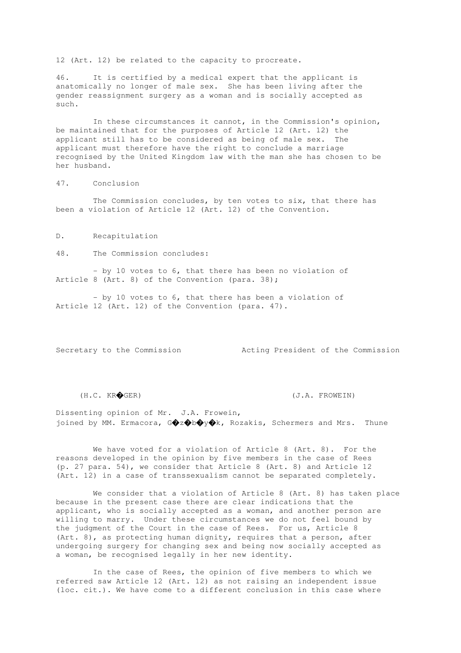12 (Art. 12) be related to the capacity to procreate.

46. It is certified by a medical expert that the applicant is anatomically no longer of male sex. She has been living after the gender reassignment surgery as a woman and is socially accepted as such.

 In these circumstances it cannot, in the Commission's opinion, be maintained that for the purposes of Article 12 (Art. 12) the applicant still has to be considered as being of male sex. The applicant must therefore have the right to conclude a marriage recognised by the United Kingdom law with the man she has chosen to be her husband.

47. Conclusion

 The Commission concludes, by ten votes to six, that there has been a violation of Article 12 (Art. 12) of the Convention.

D. Recapitulation

48. The Commission concludes:

 - by 10 votes to 6, that there has been no violation of Article 8 (Art. 8) of the Convention (para. 38);

 - by 10 votes to 6, that there has been a violation of Article 12 (Art. 12) of the Convention (para. 47).

Secretary to the Commission **Acting President of the Commission** 

(H.C. KR�GER) (J.A. FROWEIN)

Dissenting opinion of Mr. J.A. Frowein, joined by MM. Ermacora,  $G\hat{\mathbf{\Theta}}z\hat{\mathbf{\Theta}}b\hat{\mathbf{\Theta}}y\hat{\mathbf{\Theta}}k$ , Rozakis, Schermers and Mrs. Thune

 We have voted for a violation of Article 8 (Art. 8). For the reasons developed in the opinion by five members in the case of Rees (p. 27 para. 54), we consider that Article 8 (Art. 8) and Article 12 (Art. 12) in a case of transsexualism cannot be separated completely.

 We consider that a violation of Article 8 (Art. 8) has taken place because in the present case there are clear indications that the applicant, who is socially accepted as a woman, and another person are willing to marry. Under these circumstances we do not feel bound by the judgment of the Court in the case of Rees. For us, Article 8 (Art. 8), as protecting human dignity, requires that a person, after undergoing surgery for changing sex and being now socially accepted as a woman, be recognised legally in her new identity.

 In the case of Rees, the opinion of five members to which we referred saw Article 12 (Art. 12) as not raising an independent issue (loc. cit.). We have come to a different conclusion in this case where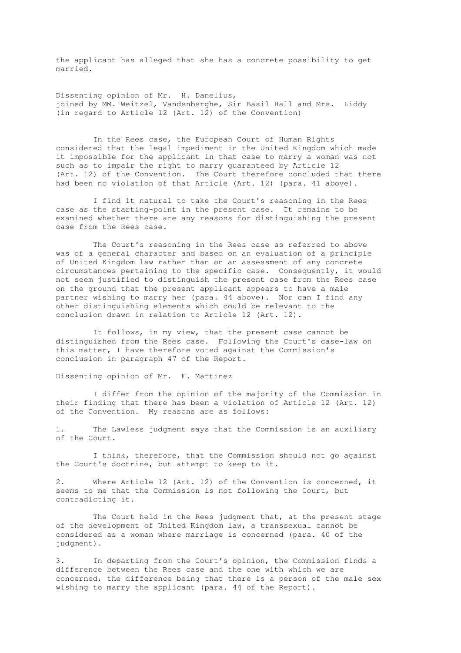the applicant has alleged that she has a concrete possibility to get married.

Dissenting opinion of Mr. H. Danelius, joined by MM. Weitzel, Vandenberghe, Sir Basil Hall and Mrs. Liddy (in regard to Article 12 (Art. 12) of the Convention)

 In the Rees case, the European Court of Human Rights considered that the legal impediment in the United Kingdom which made it impossible for the applicant in that case to marry a woman was not such as to impair the right to marry guaranteed by Article 12 (Art. 12) of the Convention. The Court therefore concluded that there had been no violation of that Article (Art. 12) (para. 41 above).

 I find it natural to take the Court's reasoning in the Rees case as the starting-point in the present case. It remains to be examined whether there are any reasons for distinguishing the present case from the Rees case.

 The Court's reasoning in the Rees case as referred to above was of a general character and based on an evaluation of a principle of United Kingdom law rather than on an assessment of any concrete circumstances pertaining to the specific case. Consequently, it would not seem justified to distinguish the present case from the Rees case on the ground that the present applicant appears to have a male partner wishing to marry her (para. 44 above). Nor can I find any other distinguishing elements which could be relevant to the conclusion drawn in relation to Article 12 (Art. 12).

 It follows, in my view, that the present case cannot be distinguished from the Rees case. Following the Court's case-law on this matter, I have therefore voted against the Commission's conclusion in paragraph 47 of the Report.

Dissenting opinion of Mr. F. Martinez

 I differ from the opinion of the majority of the Commission in their finding that there has been a violation of Article 12 (Art. 12) of the Convention. My reasons are as follows:

1. The Lawless judgment says that the Commission is an auxiliary of the Court.

 I think, therefore, that the Commission should not go against the Court's doctrine, but attempt to keep to it.

2. Where Article 12 (Art. 12) of the Convention is concerned, it seems to me that the Commission is not following the Court, but contradicting it.

 The Court held in the Rees judgment that, at the present stage of the development of United Kingdom law, a transsexual cannot be considered as a woman where marriage is concerned (para. 40 of the judgment).

3. In departing from the Court's opinion, the Commission finds a difference between the Rees case and the one with which we are concerned, the difference being that there is a person of the male sex wishing to marry the applicant (para. 44 of the Report).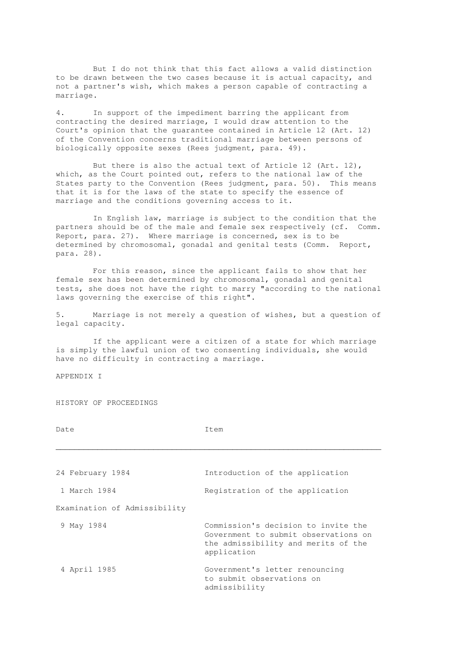But I do not think that this fact allows a valid distinction to be drawn between the two cases because it is actual capacity, and not a partner's wish, which makes a person capable of contracting a marriage.

4. In support of the impediment barring the applicant from contracting the desired marriage, I would draw attention to the Court's opinion that the guarantee contained in Article 12 (Art. 12) of the Convention concerns traditional marriage between persons of biologically opposite sexes (Rees judgment, para. 49).

 But there is also the actual text of Article 12 (Art. 12), which, as the Court pointed out, refers to the national law of the States party to the Convention (Rees judgment, para. 50). This means that it is for the laws of the state to specify the essence of marriage and the conditions governing access to it.

 In English law, marriage is subject to the condition that the partners should be of the male and female sex respectively (cf. Comm. Report, para. 27). Where marriage is concerned, sex is to be determined by chromosomal, gonadal and genital tests (Comm. Report, para. 28).

 For this reason, since the applicant fails to show that her female sex has been determined by chromosomal, gonadal and genital tests, she does not have the right to marry "according to the national laws governing the exercise of this right".

5. Marriage is not merely a question of wishes, but a question of legal capacity.

 If the applicant were a citizen of a state for which marriage is simply the lawful union of two consenting individuals, she would have no difficulty in contracting a marriage.

APPENDIX I

HISTORY OF PROCEEDINGS

Date Item

 $\mathcal{L}_\mathcal{L} = \mathcal{L}_\mathcal{L} = \mathcal{L}_\mathcal{L} = \mathcal{L}_\mathcal{L} = \mathcal{L}_\mathcal{L} = \mathcal{L}_\mathcal{L} = \mathcal{L}_\mathcal{L} = \mathcal{L}_\mathcal{L} = \mathcal{L}_\mathcal{L} = \mathcal{L}_\mathcal{L} = \mathcal{L}_\mathcal{L} = \mathcal{L}_\mathcal{L} = \mathcal{L}_\mathcal{L} = \mathcal{L}_\mathcal{L} = \mathcal{L}_\mathcal{L} = \mathcal{L}_\mathcal{L} = \mathcal{L}_\mathcal{L}$ 

| 24 February 1984             | Introduction of the application                                                                                                   |  |  |
|------------------------------|-----------------------------------------------------------------------------------------------------------------------------------|--|--|
| 1 March 1984                 | Registration of the application                                                                                                   |  |  |
| Examination of Admissibility |                                                                                                                                   |  |  |
| 9 May 1984                   | Commission's decision to invite the<br>Government to submit observations on<br>the admissibility and merits of the<br>application |  |  |
| 4 April 1985                 | Government's letter renouncing<br>to submit observations on<br>admissibility                                                      |  |  |